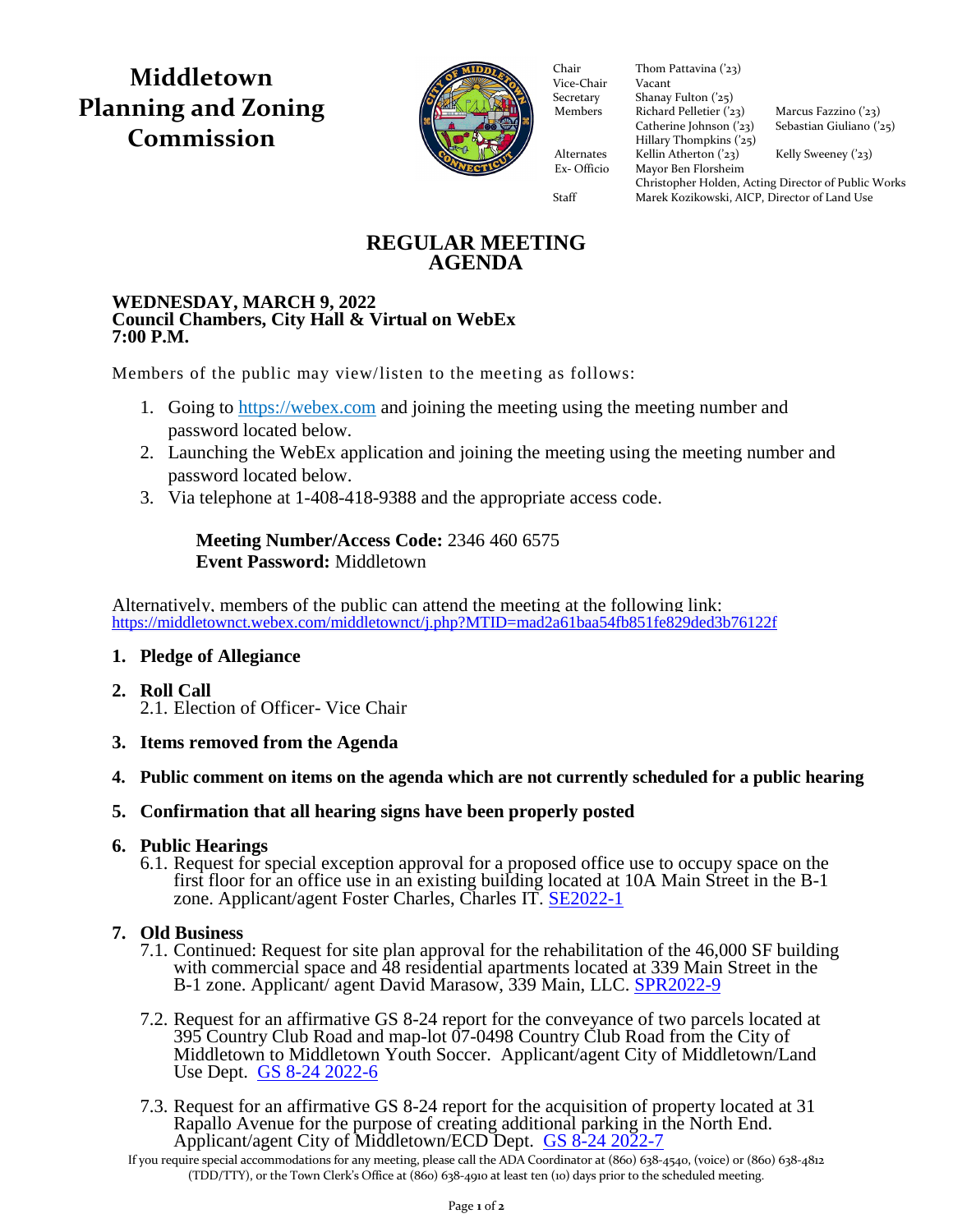**Middletown Planning and Zoning Commission**



Vice-Chair Vacant Secretary Shanay Fulton ('25) Members Richard Pelletier  $(23)$  Marcus Fazzino  $(23)$ Richard Pelletier ('23) Marcus Fazzino ('23)<br>Catherine Johnson ('23) Sebastian Giuliano ('2  $\frac{1}{2}$  Hillary Thompkins ('25) Alternates Kellin Atherton ('23) Kelly Sweeney ('23) Ex- Officio Mayor Ben Florsheim Ex- Officio Mayor Ben Florsheim Chair Thom Pattavina ('23)<br>Vice-Chair Vacant

Sebastian Giuliano ('25)

Christopher Holden, Acting Director of Public Works Staff Marek Kozikowski, AICP, Director of Land Use

# **REGULAR MEETING AGENDA**

#### **WEDNESDAY, MARCH 9, 2022 Council Chambers, City Hall & Virtual on WebEx 7:00 P.M.**

Members of the public may view/listen to the meeting as follows:

- 1. Going to [https://webex.com](https://webex.com/) and joining the meeting using the meeting number and password located below.
- 2. Launching the WebEx application and joining the meeting using the meeting number and password located below.
- 3. Via telephone at 1-408-418-9388 and the appropriate access code.

# **Meeting Number/Access Code:** 2346 460 6575 **Event Password:** Middletown

Alternatively, members of the public can attend the meeting at the following link: <https://middletownct.webex.com/middletownct/j.php?MTID=mad2a61baa54fb851fe829ded3b76122f>

# **1. Pledge of Allegiance**

- **2. Roll Call** 2.1. Election of Officer- Vice Chair
- **3. Items removed from the Agenda**
- **4. Public comment on items on the agenda which are not currently scheduled for a public hearing**
- **5. Confirmation that all hearing signs have been properly posted**

## **6. Public Hearings**

6.1. Request for special exception approval for a proposed office use to occupy space on the first floor for an office use in an existing building located at 10A Main Street in the B-1 zone. Applicant/agent Foster Charles, Charles IT. [SE2022-1](https://middletownct.box.com/s/qx624i2lt4nyqw1foxauhmfnrpr4a04n)

# **7. Old Business**

- 7.1. Continued: Request for site plan approval for the rehabilitation of the 46,000 SF building with commercial space and 48 residential apartments located at 339 Main Street in the B-1 zone. Applicant/ agent David Marasow, 339 Main, LLC. [SPR2022-9](https://middletownct.box.com/s/tq0hvro9ac49v9uxzi5n0lpk14tdbkuq)
- 7.2. Request for an affirmative GS 8-24 report for the conveyance of two parcels located at 395 Country Club Road and map-lot 07-0498 Country Club Road from the City of Middletown to Middletown Youth Soccer. Applicant/agent City of Middletown/Land Use Dept. [GS 8-24 2022-6](https://middletownct.box.com/s/tbie56ousmhyn7t4hm6ebxgfjsbbjyxj)
- 7.3. Request for an affirmative GS 8-24 report for the acquisition of property located at 31 Rapallo Avenue for the purpose of creating additional parking in the North End. Applicant/agent City of Middletown/ECD Dept. [GS 8-24 2022-7](https://middletownct.box.com/s/1w2vih8oit6wer19hcxjil87vf8rcgoj)

If you require special accommodations for any meeting, please call the ADA Coordinator at (860) 638-4540, (voice) or (860) 638-4812 (TDD/TTY), or the Town Clerk's Office at (860) 638-4910 at least ten (10) days prior to the scheduled meeting.